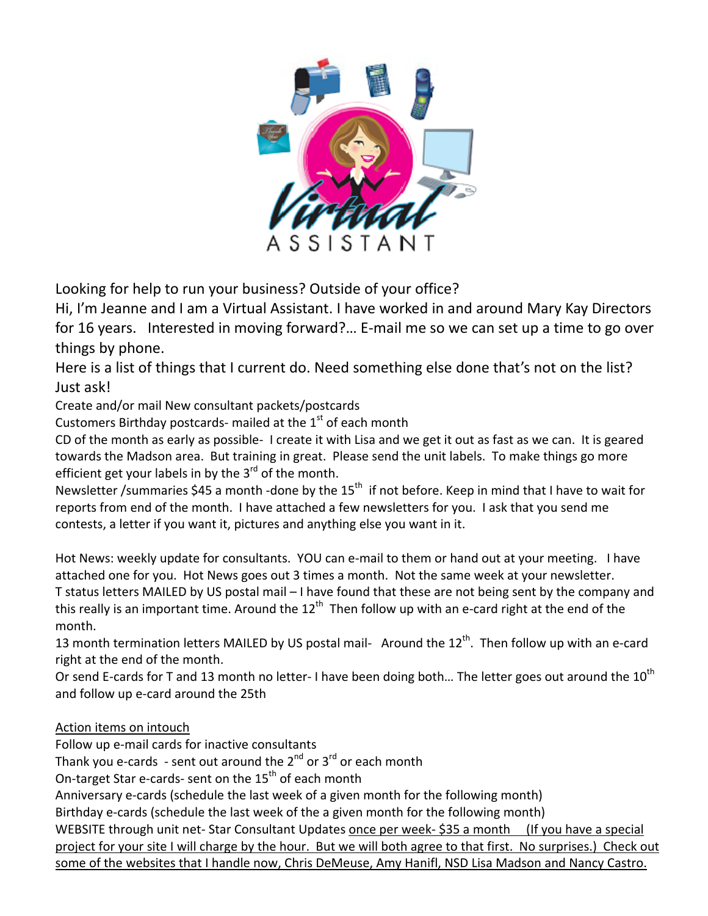

Looking for help to run your business? Outside of your office?

Hi, I'm Jeanne and I am a Virtual Assistant. I have worked in and around Mary Kay Directors for 16 years. Interested in moving forward?... E-mail me so we can set up a time to go over things by phone.

Here is a list of things that I current do. Need something else done that's not on the list? Just ask!

Create and/or mail New consultant packets/postcards

Customers Birthday postcards- mailed at the  $1<sup>st</sup>$  of each month

CD of the month as early as possible‐ I create it with Lisa and we get it out as fast as we can. It is geared towards the Madson area. But training in great. Please send the unit labels. To make things go more efficient get your labels in by the  $3<sup>rd</sup>$  of the month.

Newsletter /summaries \$45 a month -done by the 15<sup>th</sup> if not before. Keep in mind that I have to wait for reports from end of the month. I have attached a few newsletters for you. I ask that you send me contests, a letter if you want it, pictures and anything else you want in it.

Hot News: weekly update for consultants. YOU can e-mail to them or hand out at your meeting. I have attached one for you. Hot News goes out 3 times a month. Not the same week at your newsletter. T status letters MAILED by US postal mail – I have found that these are not being sent by the company and this really is an important time. Around the  $12<sup>th</sup>$  Then follow up with an e-card right at the end of the month.

13 month termination letters MAILED by US postal mail- Around the 12<sup>th</sup>. Then follow up with an e-card right at the end of the month.

Or send E-cards for T and 13 month no letter- I have been doing both... The letter goes out around the  $10^{th}$ and follow up e‐card around the 25th

# Action items on intouch

Follow up e‐mail cards for inactive consultants

Thank you e-cards - sent out around the  $2^{nd}$  or  $3^{rd}$  or each month

On-target Star e-cards- sent on the 15<sup>th</sup> of each month

Anniversary e‐cards (schedule the last week of a given month for the following month)

Birthday e-cards (schedule the last week of the a given month for the following month)

WEBSITE through unit net-Star Consultant Updates once per week-\$35 a month (If you have a special project for your site I will charge by the hour. But we will both agree to that first. No surprises.) Check out some of the websites that I handle now, Chris DeMeuse, Amy Hanifl, NSD Lisa Madson and Nancy Castro.